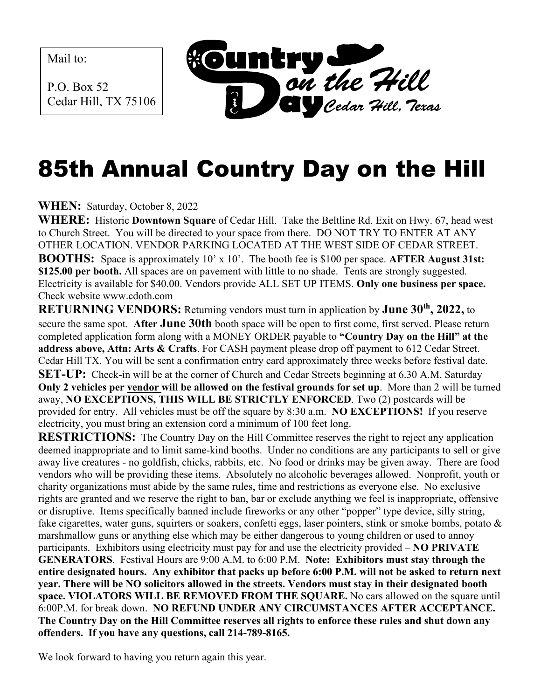Mail to:

P.O. Box 52 Cedar Hill, TX 75106



## 85th Annual Country Day on the Hill

**WHEN:** Saturday, October 8, 2022

**WHERE:** Historic **Downtown Square** of Cedar Hill. Take the Beltline Rd. Exit on Hwy. 67, head west to Church Street. You will be directed to your space from there. DO NOT TRY TO ENTER AT ANY OTHER LOCATION. VENDOR PARKING LOCATED AT THE WEST SIDE OF CEDAR STREET. **BOOTHS:** Space is approximately 10' x 10'. The booth fee is \$100 per space. **AFTER August 31st: \$125.00 per booth.** All spaces are on pavement with little to no shade. Tents are strongly suggested. Electricity is available for \$40.00. Vendors provide ALL SET UP ITEMS. **Only one business per space.** Check website www.cdoth.com

**RETURNING VENDORS:** Returning vendors must turn in application by **June 30th , 2022,** to secure the same spot. **After June 30th** booth space will be open to first come, first served. Please return completed application form along with a MONEY ORDER payable to **"Country Day on the Hill" at the address above, Attn: Arts & Crafts**. For CASH payment please drop off payment to 612 Cedar Street. Cedar Hill TX. You will be sent a confirmation entry card approximately three weeks before festival date. **SET-UP:** Check-in will be at the corner of Church and Cedar Streets beginning at 6.30 A.M. Saturday **Only 2 vehicles per vendor will be allowed on the festival grounds for set up**. More than 2 will be turned away, **NO EXCEPTIONS, THIS WILL BE STRICTLY ENFORCED**. Two (2) postcards will be provided for entry. All vehicles must be off the square by 8:30 a.m. **NO EXCEPTIONS!** If you reserve electricity, you must bring an extension cord a minimum of 100 feet long.

**RESTRICTIONS:** The Country Day on the Hill Committee reserves the right to reject any application deemed inappropriate and to limit same-kind booths. Under no conditions are any participants to sell or give away live creatures - no goldfish, chicks, rabbits, etc. No food or drinks may be given away. There are food vendors who will be providing these items. Absolutely no alcoholic beverages allowed. Nonprofit, youth or charity organizations must abide by the same rules, time and restrictions as everyone else. No exclusive rights are granted and we reserve the right to ban, bar or exclude anything we feel is inappropriate, offensive or disruptive. Items specifically banned include fireworks or any other "popper" type device, silly string, fake cigarettes, water guns, squirters or soakers, confetti eggs, laser pointers, stink or smoke bombs, potato & marshmallow guns or anything else which may be either dangerous to young children or used to annoy participants. Exhibitors using electricity must pay for and use the electricity provided – **NO PRIVATE GENERATORS**. Festival Hours are 9:00 A.M. to 6:00 P.M. **Note: Exhibitors must stay through the entire designated hours. Any exhibitor that packs up before 6:00 P.M. will not be asked to return next year. There will be NO solicitors allowed in the streets. Vendors must stay in their designated booth space. VIOLATORS WILL BE REMOVED FROM THE SQUARE.** No cars allowed on the square until 6:00P.M. for break down. **NO REFUND UNDER ANY CIRCUMSTANCES AFTER ACCEPTANCE. The Country Day on the Hill Committee reserves all rights to enforce these rules and shut down any offenders. If you have any questions, call 214-789-8165.**

We look forward to having you return again this year.